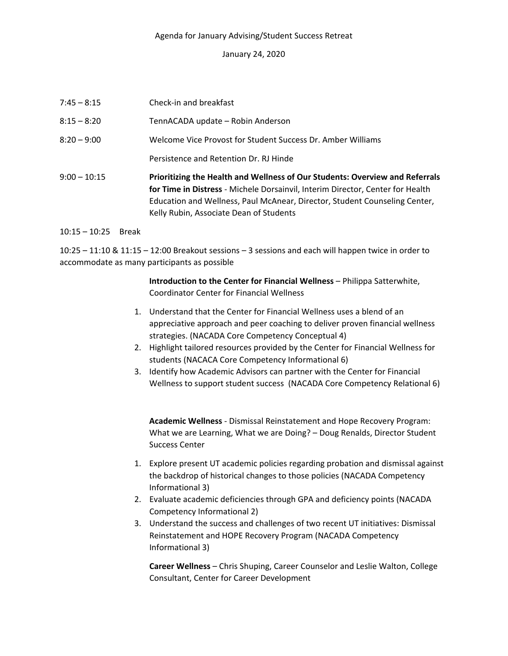## Agenda for January Advising/Student Success Retreat

## January 24, 2020

| $7:45 - 8:15$  | Check-in and breakfast                                                                                                                                                                                                                                                                  |
|----------------|-----------------------------------------------------------------------------------------------------------------------------------------------------------------------------------------------------------------------------------------------------------------------------------------|
| $8:15 - 8:20$  | TennACADA update - Robin Anderson                                                                                                                                                                                                                                                       |
| $8:20 - 9:00$  | Welcome Vice Provost for Student Success Dr. Amber Williams                                                                                                                                                                                                                             |
|                | Persistence and Retention Dr. RJ Hinde                                                                                                                                                                                                                                                  |
| $9:00 - 10:15$ | Prioritizing the Health and Wellness of Our Students: Overview and Referrals<br>for Time in Distress - Michele Dorsainvil, Interim Director, Center for Health<br>Education and Wellness, Paul McAnear, Director, Student Counseling Center,<br>Kelly Rubin, Associate Dean of Students |

## 10:15 – 10:25 Break

10:25 – 11:10 & 11:15 – 12:00 Breakout sessions – 3 sessions and each will happen twice in order to accommodate as many participants as possible

> **Introduction to the Center for Financial Wellness** – Philippa Satterwhite, Coordinator Center for Financial Wellness

- 1. Understand that the Center for Financial Wellness uses a blend of an appreciative approach and peer coaching to deliver proven financial wellness strategies. (NACADA Core Competency Conceptual 4)
- 2. Highlight tailored resources provided by the Center for Financial Wellness for students (NACACA Core Competency Informational 6)
- 3. Identify how Academic Advisors can partner with the Center for Financial Wellness to support student success (NACADA Core Competency Relational 6)

**Academic Wellness** - Dismissal Reinstatement and Hope Recovery Program: What we are Learning, What we are Doing? – Doug Renalds, Director Student Success Center

- 1. Explore present UT academic policies regarding probation and dismissal against the backdrop of historical changes to those policies (NACADA Competency Informational 3)
- 2. Evaluate academic deficiencies through GPA and deficiency points (NACADA Competency Informational 2)
- 3. Understand the success and challenges of two recent UT initiatives: Dismissal Reinstatement and HOPE Recovery Program (NACADA Competency Informational 3)

**Career Wellness** – Chris Shuping, Career Counselor and Leslie Walton, College Consultant, Center for Career Development